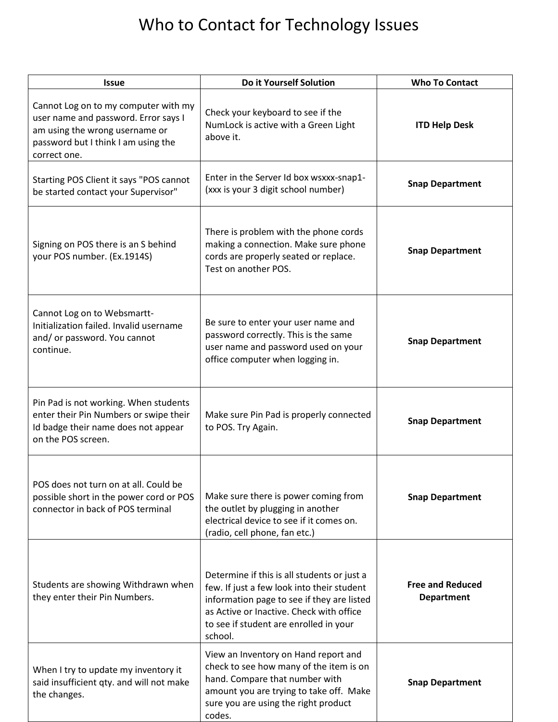## Who to Contact for Technology Issues

| Issue                                                                                                                                                                 | Do it Yourself Solution                                                                                                                                                                                                                  | <b>Who To Contact</b>                        |
|-----------------------------------------------------------------------------------------------------------------------------------------------------------------------|------------------------------------------------------------------------------------------------------------------------------------------------------------------------------------------------------------------------------------------|----------------------------------------------|
| Cannot Log on to my computer with my<br>user name and password. Error says I<br>am using the wrong username or<br>password but I think I am using the<br>correct one. | Check your keyboard to see if the<br>NumLock is active with a Green Light<br>above it.                                                                                                                                                   | <b>ITD Help Desk</b>                         |
| Starting POS Client it says "POS cannot<br>be started contact your Supervisor"                                                                                        | Enter in the Server Id box wsxxx-snap1-<br>(xxx is your 3 digit school number)                                                                                                                                                           | <b>Snap Department</b>                       |
| Signing on POS there is an S behind<br>your POS number. (Ex.1914S)                                                                                                    | There is problem with the phone cords<br>making a connection. Make sure phone<br>cords are properly seated or replace.<br>Test on another POS.                                                                                           | <b>Snap Department</b>                       |
| Cannot Log on to Websmartt-<br>Initialization failed. Invalid username<br>and/ or password. You cannot<br>continue.                                                   | Be sure to enter your user name and<br>password correctly. This is the same<br>user name and password used on your<br>office computer when logging in.                                                                                   | <b>Snap Department</b>                       |
| Pin Pad is not working. When students<br>enter their Pin Numbers or swipe their<br>Id badge their name does not appear<br>on the POS screen.                          | Make sure Pin Pad is properly connected<br>to POS. Try Again.                                                                                                                                                                            | <b>Snap Department</b>                       |
| POS does not turn on at all. Could be<br>possible short in the power cord or POS<br>connector in back of POS terminal                                                 | Make sure there is power coming from<br>the outlet by plugging in another<br>electrical device to see if it comes on.<br>(radio, cell phone, fan etc.)                                                                                   | <b>Snap Department</b>                       |
| Students are showing Withdrawn when<br>they enter their Pin Numbers.                                                                                                  | Determine if this is all students or just a<br>few. If just a few look into their student<br>information page to see if they are listed<br>as Active or Inactive. Check with office<br>to see if student are enrolled in your<br>school. | <b>Free and Reduced</b><br><b>Department</b> |
| When I try to update my inventory it<br>said insufficient qty. and will not make<br>the changes.                                                                      | View an Inventory on Hand report and<br>check to see how many of the item is on<br>hand. Compare that number with<br>amount you are trying to take off. Make<br>sure you are using the right product<br>codes.                           | <b>Snap Department</b>                       |